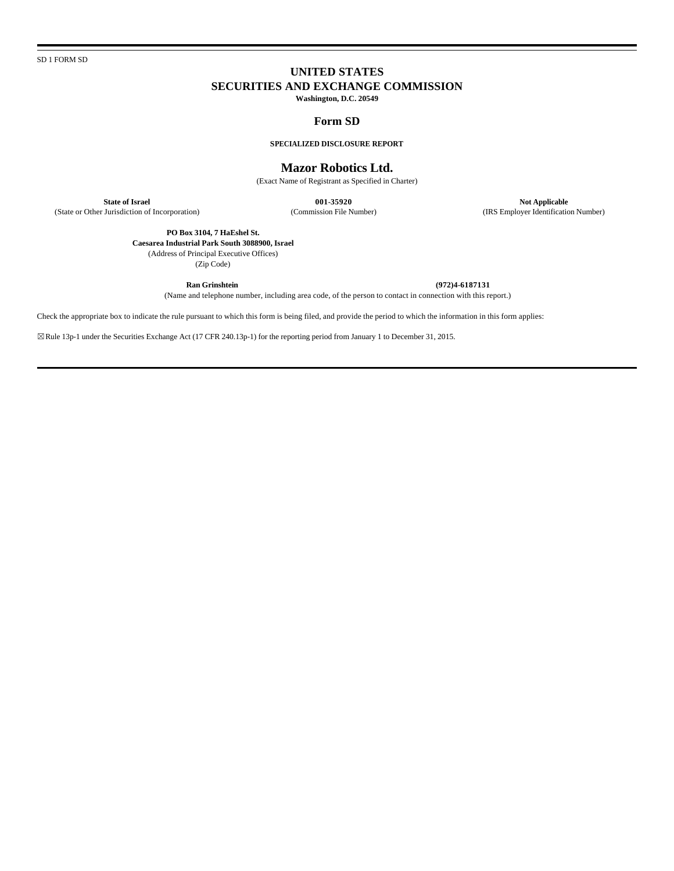SD 1 FORM SD

# **UNITED STATES SECURITIES AND EXCHANGE COMMISSION**

**Washington, D.C. 20549**

# **Form SD**

**SPECIALIZED DISCLOSURE REPORT**

## **Mazor Robotics Ltd.**

(Exact Name of Registrant as Specified in Charter)

**State of Israel Not Applicable**<br> **Commission File Number 1001-35920 Not Applicable**<br> **Commission File Number (IRS Employer Identification Number**)

(State or Other Jurisdiction of Incorporation) (Commission File Number)

**PO Box 3104, 7 HaEshel St. Caesarea Industrial Park South 3088900, Israel** (Address of Principal Executive Offices)

(Zip Code)

**Ran Grinshtein (972)4-6187131** (Name and telephone number, including area code, of the person to contact in connection with this report.)

Check the appropriate box to indicate the rule pursuant to which this form is being filed, and provide the period to which the information in this form applies:

☒Rule 13p-1 under the Securities Exchange Act (17 CFR 240.13p-1) for the reporting period from January 1 to December 31, 2015.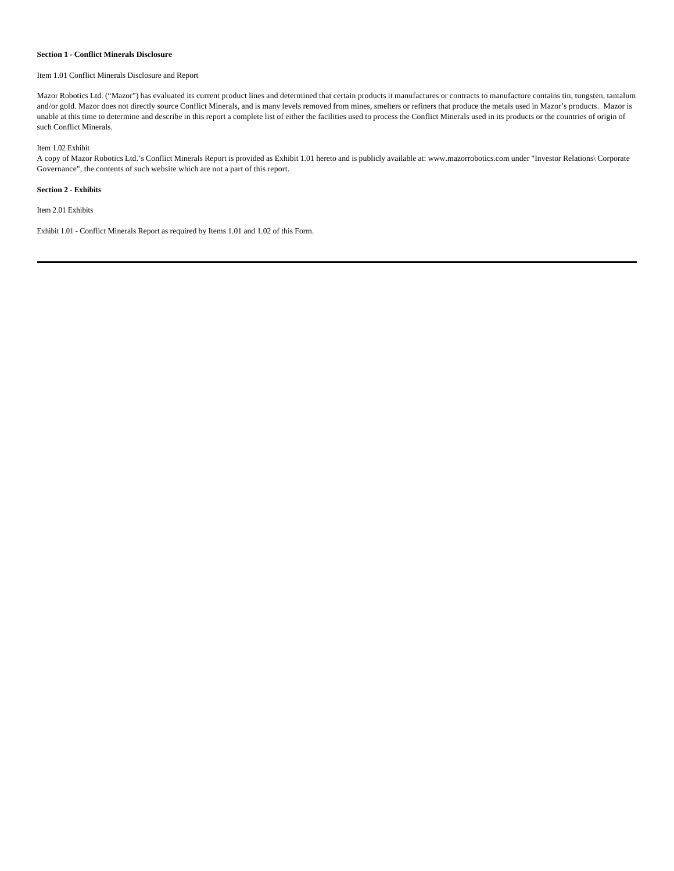## **Section 1 - Conflict Minerals Disclosure**

#### Item 1.01 Conflict Minerals Disclosure and Report

Mazor Robotics Ltd. ("Mazor") has evaluated its current product lines and determined that certain products it manufactures or contracts to manufacture contains tin, tungsten, tantalum and/or gold. Mazor does not directly source Conflict Minerals, and is many levels removed from mines, smelters or refiners that produce the metals used in Mazor's products. Mazor is unable at this time to determine and describe in this report a complete list of either the facilities used to process the Conflict Minerals used in its products or the countries of origin of such Conflict Minerals.

#### Item 1.02 Exhibit

A copy of Mazor Robotics Ltd.'s Conflict Minerals Report is provided as Exhibit 1.01 hereto and is publicly available at: www.mazorrobotics.com under "Investor Relations\ Corporate Governance", the contents of such website which are not a part of this report.

## **Section 2 - Exhibits**

Item 2.01 Exhibits

Exhibit 1.01 - Conflict Minerals Report as required by Items 1.01 and 1.02 of this Form.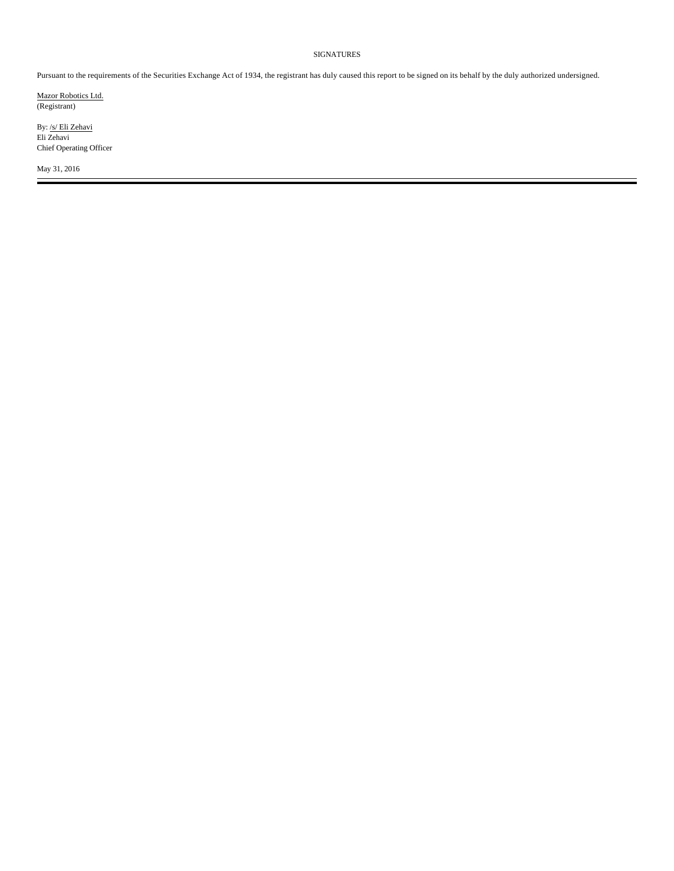# SIGNATURES

Pursuant to the requirements of the Securities Exchange Act of 1934, the registrant has duly caused this report to be signed on its behalf by the duly authorized undersigned.

Mazor Robotics Ltd. (Registrant)

By: /s/ Eli Zehavi Eli Zehavi Chief Operating Officer

May 31, 2016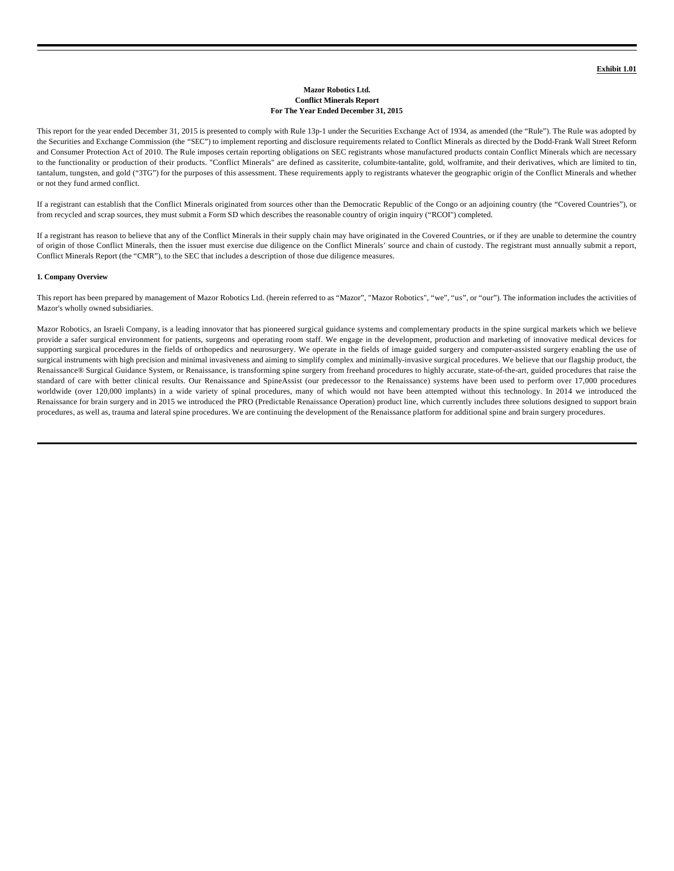### **Mazor Robotics Ltd. Conflict Minerals Report For The Year Ended December 31, 2015**

This report for the year ended December 31, 2015 is presented to comply with Rule 13p-1 under the Securities Exchange Act of 1934, as amended (the "Rule"). The Rule was adopted by the Securities and Exchange Commission (the "SEC") to implement reporting and disclosure requirements related to Conflict Minerals as directed by the Dodd-Frank Wall Street Reform and Consumer Protection Act of 2010. The Rule imposes certain reporting obligations on SEC registrants whose manufactured products contain Conflict Minerals which are necessary to the functionality or production of their products. "Conflict Minerals" are defined as cassiterite, columbite-tantalite, gold, wolframite, and their derivatives, which are limited to tin, tantalum, tungsten, and gold ("3TG") for the purposes of this assessment. These requirements apply to registrants whatever the geographic origin of the Conflict Minerals and whether or not they fund armed conflict.

If a registrant can establish that the Conflict Minerals originated from sources other than the Democratic Republic of the Congo or an adjoining country (the "Covered Countries"), or from recycled and scrap sources, they must submit a Form SD which describes the reasonable country of origin inquiry ("RCOI") completed.

If a registrant has reason to believe that any of the Conflict Minerals in their supply chain may have originated in the Covered Countries, or if they are unable to determine the country of origin of those Conflict Minerals, then the issuer must exercise due diligence on the Conflict Minerals' source and chain of custody. The registrant must annually submit a report, Conflict Minerals Report (the "CMR"), to the SEC that includes a description of those due diligence measures.

#### **1. Company Overview**

This report has been prepared by management of Mazor Robotics Ltd. (herein referred to as "Mazor", "Mazor Robotics", "we", "us", or "our"). The information includes the activities of Mazor's wholly owned subsidiaries.

Mazor Robotics, an Israeli Company, is a leading innovator that has pioneered surgical guidance systems and complementary products in the spine surgical markets which we believe provide a safer surgical environment for patients, surgeons and operating room staff. We engage in the development, production and marketing of innovative medical devices for supporting surgical procedures in the fields of orthopedics and neurosurgery. We operate in the fields of image guided surgery and computer-assisted surgery enabling the use of surgical instruments with high precision and minimal invasiveness and aiming to simplify complex and minimally-invasive surgical procedures. We believe that our flagship product, the Renaissance® Surgical Guidance System, or Renaissance, is transforming spine surgery from freehand procedures to highly accurate, state-of-the-art, guided procedures that raise the standard of care with better clinical results. Our Renaissance and SpineAssist (our predecessor to the Renaissance) systems have been used to perform over 17,000 procedures worldwide (over 120,000 implants) in a wide variety of spinal procedures, many of which would not have been attempted without this technology. In 2014 we introduced the Renaissance for brain surgery and in 2015 we introduced the PRO (Predictable Renaissance Operation) product line, which currently includes three solutions designed to support brain procedures, as well as, trauma and lateral spine procedures. We are continuing the development of the Renaissance platform for additional spine and brain surgery procedures.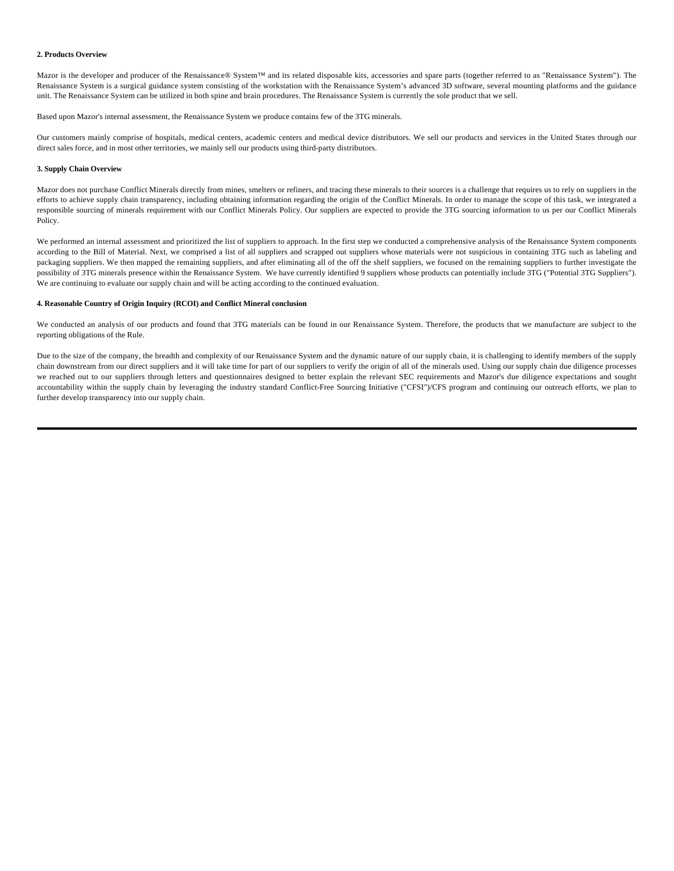#### **2. Products Overview**

Mazor is the developer and producer of the Renaissance® System™ and its related disposable kits, accessories and spare parts (together referred to as "Renaissance System"). The Renaissance System is a surgical guidance system consisting of the workstation with the Renaissance System's advanced 3D software, several mounting platforms and the guidance unit. The Renaissance System can be utilized in both spine and brain procedures. The Renaissance System is currently the sole product that we sell.

Based upon Mazor's internal assessment, the Renaissance System we produce contains few of the 3TG minerals.

Our customers mainly comprise of hospitals, medical centers, academic centers and medical device distributors. We sell our products and services in the United States through our direct sales force, and in most other territories, we mainly sell our products using third-party distributors.

## **3. Supply Chain Overview**

Mazor does not purchase Conflict Minerals directly from mines, smelters or refiners, and tracing these minerals to their sources is a challenge that requires us to rely on suppliers in the efforts to achieve supply chain transparency, including obtaining information regarding the origin of the Conflict Minerals. In order to manage the scope of this task, we integrated a responsible sourcing of minerals requirement with our Conflict Minerals Policy. Our suppliers are expected to provide the 3TG sourcing information to us per our Conflict Minerals Policy.

We performed an internal assessment and prioritized the list of suppliers to approach. In the first step we conducted a comprehensive analysis of the Renaissance System components according to the Bill of Material. Next, we comprised a list of all suppliers and scrapped out suppliers whose materials were not suspicious in containing 3TG such as labeling and packaging suppliers. We then mapped the remaining suppliers, and after eliminating all of the off the shelf suppliers, we focused on the remaining suppliers to further investigate the possibility of 3TG minerals presence within the Renaissance System. We have currently identified 9 suppliers whose products can potentially include 3TG ("Potential 3TG Suppliers"). We are continuing to evaluate our supply chain and will be acting according to the continued evaluation.

#### **4. Reasonable Country of Origin Inquiry (RCOI) and Conflict Mineral conclusion**

We conducted an analysis of our products and found that 3TG materials can be found in our Renaissance System. Therefore, the products that we manufacture are subject to the reporting obligations of the Rule.

Due to the size of the company, the breadth and complexity of our Renaissance System and the dynamic nature of our supply chain, it is challenging to identify members of the supply chain downstream from our direct suppliers and it will take time for part of our suppliers to verify the origin of all of the minerals used. Using our supply chain due diligence processes we reached out to our suppliers through letters and questionnaires designed to better explain the relevant SEC requirements and Mazor's due diligence expectations and sought accountability within the supply chain by leveraging the industry standard Conflict-Free Sourcing Initiative ("CFSI")/CFS program and continuing our outreach efforts, we plan to further develop transparency into our supply chain.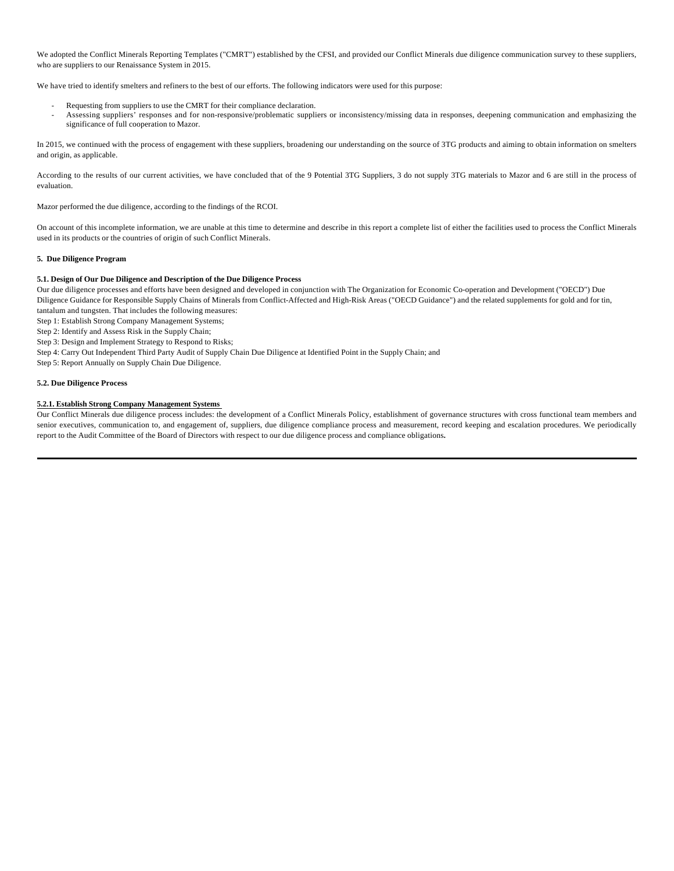We adopted the Conflict Minerals Reporting Templates ("CMRT") established by the CFSI, and provided our Conflict Minerals due diligence communication survey to these suppliers, who are suppliers to our Renaissance System in 2015.

We have tried to identify smelters and refiners to the best of our efforts. The following indicators were used for this purpose:

- Requesting from suppliers to use the CMRT for their compliance declaration.
- Assessing suppliers' responses and for non-responsive/problematic suppliers or inconsistency/missing data in responses, deepening communication and emphasizing the significance of full cooperation to Mazor.

In 2015, we continued with the process of engagement with these suppliers, broadening our understanding on the source of 3TG products and aiming to obtain information on smelters and origin, as applicable.

According to the results of our current activities, we have concluded that of the 9 Potential 3TG Suppliers, 3 do not supply 3TG materials to Mazor and 6 are still in the process of evaluation.

Mazor performed the due diligence, according to the findings of the RCOI.

On account of this incomplete information, we are unable at this time to determine and describe in this report a complete list of either the facilities used to process the Conflict Minerals used in its products or the countries of origin of such Conflict Minerals.

## **5. Due Diligence Program**

## **5.1. Design of Our Due Diligence and Description of the Due Diligence Process**

Our due diligence processes and efforts have been designed and developed in conjunction with The Organization for Economic Co-operation and Development ("OECD") Due Diligence Guidance for Responsible Supply Chains of Minerals from Conflict-Affected and High-Risk Areas ("OECD Guidance") and the related supplements for gold and for tin, tantalum and tungsten. That includes the following measures:

Step 1: Establish Strong Company Management Systems;

Step 2: Identify and Assess Risk in the Supply Chain;

Step 3: Design and Implement Strategy to Respond to Risks;

Step 4: Carry Out Independent Third Party Audit of Supply Chain Due Diligence at Identified Point in the Supply Chain; and

Step 5: Report Annually on Supply Chain Due Diligence.

## **5.2. Due Diligence Process**

# **5.2.1. Establish Strong Company Management Systems**

Our Conflict Minerals due diligence process includes: the development of a Conflict Minerals Policy, establishment of governance structures with cross functional team members and senior executives, communication to, and engagement of, suppliers, due diligence compliance process and measurement, record keeping and escalation procedures. We periodically report to the Audit Committee of the Board of Directors with respect to our due diligence process and compliance obligations**.**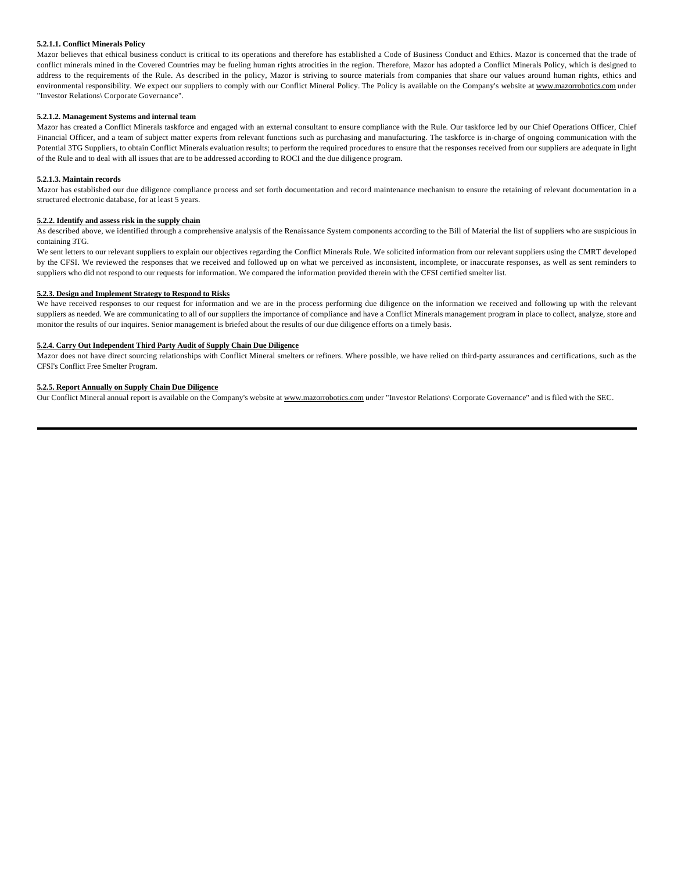## **5.2.1.1. Conflict Minerals Policy**

Mazor believes that ethical business conduct is critical to its operations and therefore has established a Code of Business Conduct and Ethics. Mazor is concerned that the trade of conflict minerals mined in the Covered Countries may be fueling human rights atrocities in the region. Therefore, Mazor has adopted a Conflict Minerals Policy, which is designed to address to the requirements of the Rule. As described in the policy, Mazor is striving to source materials from companies that share our values around human rights, ethics and environmental responsibility. We expect our suppliers to comply with our Conflict Mineral Policy. The Policy is available on the Company's website at www.mazorrobotics.com under "Investor Relations\ Corporate Governance".

#### **5.2.1.2. Management Systems and internal team**

Mazor has created a Conflict Minerals taskforce and engaged with an external consultant to ensure compliance with the Rule. Our taskforce led by our Chief Operations Officer, Chief Financial Officer, and a team of subject matter experts from relevant functions such as purchasing and manufacturing. The taskforce is in-charge of ongoing communication with the Potential 3TG Suppliers, to obtain Conflict Minerals evaluation results; to perform the required procedures to ensure that the responses received from our suppliers are adequate in light of the Rule and to deal with all issues that are to be addressed according to ROCI and the due diligence program.

#### **5.2.1.3. Maintain records**

Mazor has established our due diligence compliance process and set forth documentation and record maintenance mechanism to ensure the retaining of relevant documentation in a structured electronic database, for at least 5 years.

### **5.2.2. Identify and assess risk in the supply chain**

As described above, we identified through a comprehensive analysis of the Renaissance System components according to the Bill of Material the list of suppliers who are suspicious in containing 3TG.

We sent letters to our relevant suppliers to explain our objectives regarding the Conflict Minerals Rule. We solicited information from our relevant suppliers using the CMRT developed by the CFSI. We reviewed the responses that we received and followed up on what we perceived as inconsistent, incomplete, or inaccurate responses, as well as sent reminders to suppliers who did not respond to our requests for information. We compared the information provided therein with the CFSI certified smelter list.

#### **5.2.3. Design and Implement Strategy to Respond to Risks**

We have received responses to our request for information and we are in the process performing due diligence on the information we received and following up with the relevant suppliers as needed. We are communicating to all of our suppliers the importance of compliance and have a Conflict Minerals management program in place to collect, analyze, store and monitor the results of our inquires. Senior management is briefed about the results of our due diligence efforts on a timely basis.

#### **5.2.4. Carry Out Independent Third Party Audit of Supply Chain Due Diligence**

Mazor does not have direct sourcing relationships with Conflict Mineral smelters or refiners. Where possible, we have relied on third-party assurances and certifications, such as the CFSI's Conflict Free Smelter Program.

## **5.2.5. Report Annually on Supply Chain Due Diligence**

Our Conflict Mineral annual report is available on the Company's website at www.mazorrobotics.com under "Investor Relations\ Corporate Governance" and is filed with the SEC.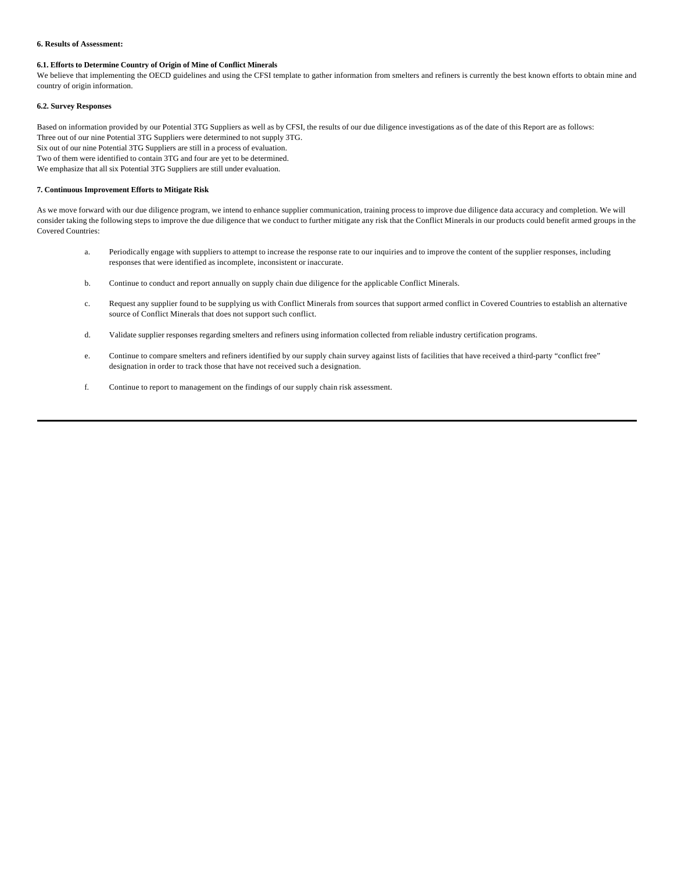### **6. Results of Assessment:**

# **6.1. Efforts to Determine Country of Origin of Mine of Conflict Minerals**

We believe that implementing the OECD guidelines and using the CFSI template to gather information from smelters and refiners is currently the best known efforts to obtain mine and country of origin information.

# **6.2. Survey Responses**

Based on information provided by our Potential 3TG Suppliers as well as by CFSI, the results of our due diligence investigations as of the date of this Report are as follows: Three out of our nine Potential 3TG Suppliers were determined to not supply 3TG. Six out of our nine Potential 3TG Suppliers are still in a process of evaluation. Two of them were identified to contain 3TG and four are yet to be determined. We emphasize that all six Potential 3TG Suppliers are still under evaluation.

# **7. Continuous Improvement Efforts to Mitigate Risk**

As we move forward with our due diligence program, we intend to enhance supplier communication, training process to improve due diligence data accuracy and completion. We will consider taking the following steps to improve the due diligence that we conduct to further mitigate any risk that the Conflict Minerals in our products could benefit armed groups in the Covered Countries:

- a. Periodically engage with suppliers to attempt to increase the response rate to our inquiries and to improve the content of the supplier responses, including responses that were identified as incomplete, inconsistent or inaccurate.
- b. Continue to conduct and report annually on supply chain due diligence for the applicable Conflict Minerals.
- c. Request any supplier found to be supplying us with Conflict Minerals from sources that support armed conflict in Covered Countries to establish an alternative source of Conflict Minerals that does not support such conflict.
- d. Validate supplier responses regarding smelters and refiners using information collected from reliable industry certification programs.
- e. Continue to compare smelters and refiners identified by our supply chain survey against lists of facilities that have received a third-party "conflict free" designation in order to track those that have not received such a designation.
- f. Continue to report to management on the findings of our supply chain risk assessment.